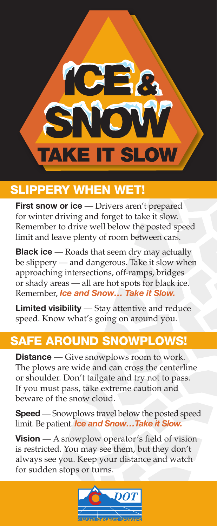

## SLIPPERY WHEN WET!

 **First snow or ice** — Drivers aren't prepared for winter driving and forget to take it slow. Remember to drive well below the posted speed limit and leave plenty of room between cars.

**Black ice** — Roads that seem dry may actually be slippery — and dangerous. Take it slow when approaching intersections, off-ramps, bridges or shady areas — all are hot spots for black ice. Remember, *Ice and Snow… Take it Slow.*

 **Limited visibility** — Stay attentive and reduce speed. Know what's going on around you.

## SAFE AROUND SNOWPLOWS!

**Distance** — Give snowplows room to work. The plows are wide and can cross the centerline or shoulder. Don't tailgate and try not to pass. If you must pass, take extreme caution and beware of the snow cloud.

**Speed** — Snowplows travel below the posted speed limit. Be patient. *Ice and Snow…Take it Slow.*

**Vision** — A snowplow operator's field of vision is restricted. You may see them, but they don't always see you. Keep your distance and watch for sudden stops or turns.